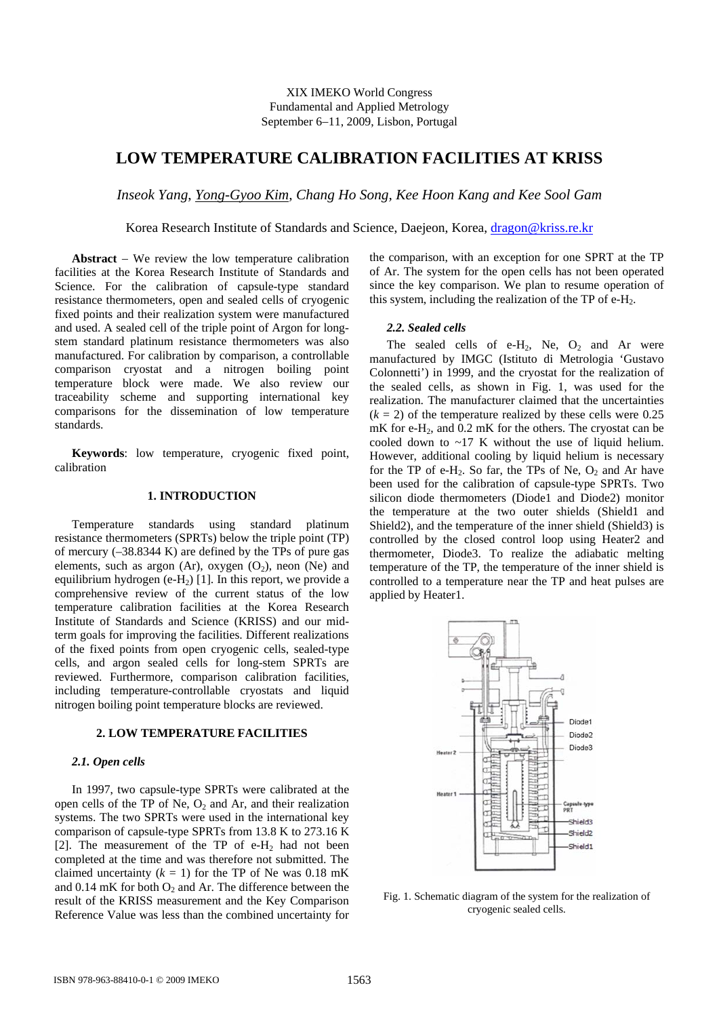# **LOW TEMPERATURE CALIBRATION FACILITIES AT KRISS**

*Inseok Yang*, *Yong-Gyoo Kim, Chang Ho Song, Kee Hoon Kang and Kee Sool Gam* 

Korea Research Institute of Standards and Science, Daejeon, Korea, [dragon@kriss.re.kr](mailto:dragon@kriss.re.kr)

**Abstract** − We review the low temperature calibration facilities at the Korea Research Institute of Standards and Science. For the calibration of capsule-type standard resistance thermometers, open and sealed cells of cryogenic fixed points and their realization system were manufactured and used. A sealed cell of the triple point of Argon for longstem standard platinum resistance thermometers was also manufactured. For calibration by comparison, a controllable comparison cryostat and a nitrogen boiling point temperature block were made. We also review our traceability scheme and supporting international key comparisons for the dissemination of low temperature standards.

**Keywords**: low temperature, cryogenic fixed point, calibration

## **1. INTRODUCTION**

Temperature standards using standard platinum resistance thermometers (SPRTs) below the triple point (TP) of mercury (–38.8344 K) are defined by the TPs of pure gas elements, such as argon (Ar), oxygen  $(O_2)$ , neon (Ne) and equilibrium hydrogen (e-H<sub>2</sub>) [1]. In this report, we provide a comprehensive review of the current status of the low temperature calibration facilities at the Korea Research Institute of Standards and Science (KRISS) and our midterm goals for improving the facilities. Different realizations of the fixed points from open cryogenic cells, sealed-type cells, and argon sealed cells for long-stem SPRTs are reviewed. Furthermore, comparison calibration facilities, including temperature-controllable cryostats and liquid nitrogen boiling point temperature blocks are reviewed.

#### **2. LOW TEMPERATURE FACILITIES**

#### *2.1. Open cells*

In 1997, two capsule-type SPRTs were calibrated at the open cells of the TP of Ne,  $O<sub>2</sub>$  and Ar, and their realization systems. The two SPRTs were used in the international key comparison of capsule-type SPRTs from 13.8 K to 273.16 K [2]. The measurement of the TP of  $e$ - $H_2$  had not been completed at the time and was therefore not submitted. The claimed uncertainty  $(k = 1)$  for the TP of Ne was 0.18 mK and  $0.14 \text{ mK}$  for both  $O_2$  and Ar. The difference between the result of the KRISS measurement and the Key Comparison Reference Value was less than the combined uncertainty for the comparison, with an exception for one SPRT at the TP of Ar. The system for the open cells has not been operated since the key comparison. We plan to resume operation of this system, including the realization of the  $TP$  of e-H<sub>2</sub>.

#### *2.2. Sealed cells*

The sealed cells of e-H<sub>2</sub>, Ne,  $O_2$  and Ar were manufactured by IMGC (Istituto di Metrologia 'Gustavo Colonnetti') in 1999, and the cryostat for the realization of the sealed cells, as shown in Fig. 1, was used for the realization. The manufacturer claimed that the uncertainties  $(k = 2)$  of the temperature realized by these cells were 0.25 mK for e-H<sub>2</sub>, and 0.2 mK for the others. The cryostat can be cooled down to ~17 K without the use of liquid helium. However, additional cooling by liquid helium is necessary for the TP of e-H<sub>2</sub>. So far, the TPs of Ne,  $O_2$  and Ar have been used for the calibration of capsule-type SPRTs. Two silicon diode thermometers (Diode1 and Diode2) monitor the temperature at the two outer shields (Shield1 and Shield2), and the temperature of the inner shield (Shield3) is controlled by the closed control loop using Heater2 and thermometer, Diode3. To realize the adiabatic melting temperature of the TP, the temperature of the inner shield is controlled to a temperature near the TP and heat pulses are applied by Heater1.



Fig. 1. Schematic diagram of the system for the realization of cryogenic sealed cells.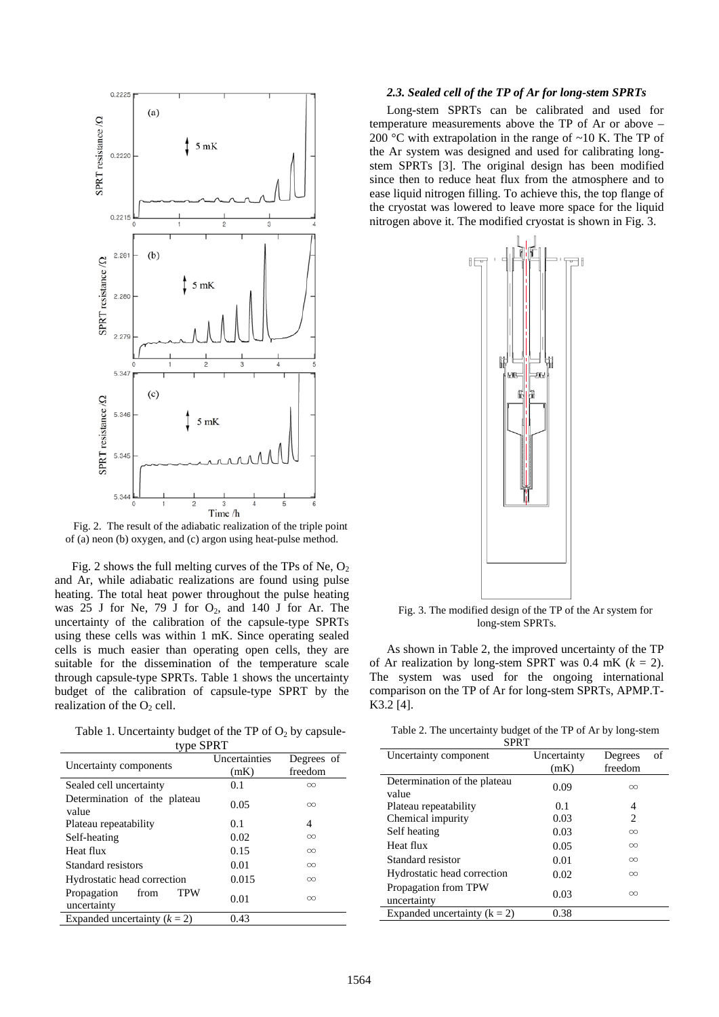

Fig. 2. The result of the adiabatic realization of the triple point of (a) neon (b) oxygen, and (c) argon using heat-pulse method.

Fig. 2 shows the full melting curves of the TPs of Ne,  $O_2$ and Ar, while adiabatic realizations are found using pulse heating. The total heat power throughout the pulse heating was  $25$  J for Ne, 79 J for  $O_2$ , and 140 J for Ar. The uncertainty of the calibration of the capsule-type SPRTs using these cells was within 1 mK. Since operating sealed cells is much easier than operating open cells, they are suitable for the dissemination of the temperature scale through capsule-type SPRTs. Table 1 shows the uncertainty budget of the calibration of capsule-type SPRT by the realization of the  $O<sub>2</sub>$  cell.

Table 1. Uncertainty budget of the TP of  $O_2$  by capsuletype SDDT

| Uncertainty components                    | Uncertainties | Degrees of |  |  |
|-------------------------------------------|---------------|------------|--|--|
|                                           | (mK)          | freedom    |  |  |
| Sealed cell uncertainty                   | 0.1           | $\infty$   |  |  |
| Determination of the plateau<br>value     | 0.05          | $\infty$   |  |  |
|                                           |               |            |  |  |
| Plateau repeatability                     | 0.1           | 4          |  |  |
| Self-heating                              | 0.02          | $\infty$   |  |  |
| Heat flux                                 | 0.15          | $\infty$   |  |  |
| Standard resistors                        | 0.01          | $\infty$   |  |  |
| Hydrostatic head correction               | 0.015         | $\infty$   |  |  |
| Propagation<br>TPW<br>from<br>uncertainty | 0.01          | $\infty$   |  |  |
| Expanded uncertainty $(k = 2)$            | 0.43          |            |  |  |

#### *2.3. Sealed cell of the TP of Ar for long-stem SPRTs*

Long-stem SPRTs can be calibrated and used for temperature measurements above the TP of Ar or above -200 °C with extrapolation in the range of ~10 K. The TP of the Ar system was designed and used for calibrating longstem SPRTs [3]. The original design has been modified since then to reduce heat flux from the atmosphere and to ease liquid nitrogen filling. To achieve this, the top flange of the cryostat was lowered to leave more space for the liquid nitrogen above it. The modified cryostat is shown in Fig. 3.



Fig. 3. The modified design of the TP of the Ar system for long-stem SPRTs.

As shown in Table 2, the improved uncertainty of the TP of Ar realization by long-stem SPRT was  $0.4$  mK ( $k = 2$ ). The system was used for the ongoing international comparison on the TP of Ar for long-stem SPRTs, APMP.T-K3.2 [4].

| Table 2. The uncertainty budget of the TP of Ar by long-stem |  |  |
|--------------------------------------------------------------|--|--|
|--------------------------------------------------------------|--|--|

| <b>SPRT</b>                           |                     |                    |    |  |
|---------------------------------------|---------------------|--------------------|----|--|
| Uncertainty component                 | Uncertainty<br>(mK) | Degrees<br>freedom | of |  |
| Determination of the plateau<br>value | 0.09                | $\infty$           |    |  |
| Plateau repeatability                 | 0.1                 | 4                  |    |  |
| Chemical impurity                     | 0.03                | 2                  |    |  |
| Self heating                          | 0.03                | $\infty$           |    |  |
| Heat flux                             | 0.05                | $\infty$           |    |  |
| Standard resistor                     | 0.01                | $\infty$           |    |  |
| Hydrostatic head correction           | 0.02                | $\infty$           |    |  |
| Propagation from TPW<br>uncertainty   | 0.03                | $\infty$           |    |  |
| Expanded uncertainty $(k = 2)$        | 0.38                |                    |    |  |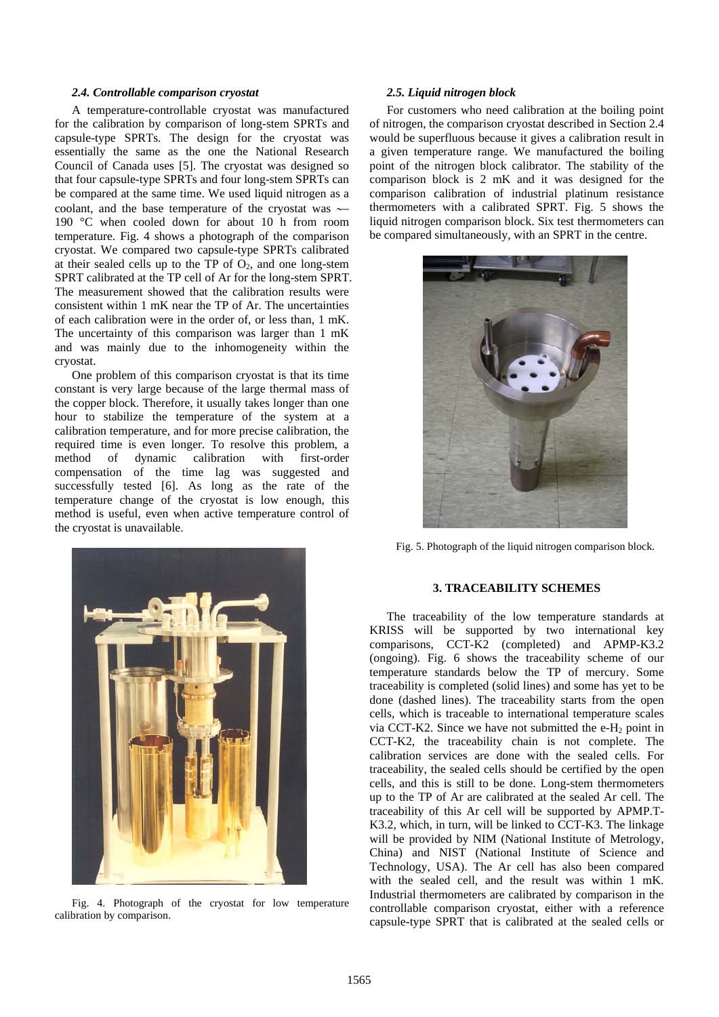#### *2.4. Controllable comparison cryostat*

A temperature-controllable cryostat was manufactured for the calibration by comparison of long-stem SPRTs and capsule-type SPRTs. The design for the cryostat was essentially the same as the one the National Research Council of Canada uses [5]. The cryostat was designed so that four capsule-type SPRTs and four long-stem SPRTs can be compared at the same time. We used liquid nitrogen as a coolant, and the base temperature of the cryostat was ∼– 190 °C when cooled down for about 10 h from room temperature. Fig. 4 shows a photograph of the comparison cryostat. We compared two capsule-type SPRTs calibrated at their sealed cells up to the TP of  $O_2$ , and one long-stem SPRT calibrated at the TP cell of Ar for the long-stem SPRT. The measurement showed that the calibration results were consistent within 1 mK near the TP of Ar. The uncertainties of each calibration were in the order of, or less than, 1 mK. The uncertainty of this comparison was larger than 1 mK and was mainly due to the inhomogeneity within the cryostat.

One problem of this comparison cryostat is that its time constant is very large because of the large thermal mass of the copper block. Therefore, it usually takes longer than one hour to stabilize the temperature of the system at a calibration temperature, and for more precise calibration, the required time is even longer. To resolve this problem, a method of dynamic calibration with first-order compensation of the time lag was suggested and successfully tested [6]. As long as the rate of the temperature change of the cryostat is low enough, this method is useful, even when active temperature control of the cryostat is unavailable.



Fig. 4. Photograph of the cryostat for low temperature calibration by comparison.

#### *2.5. Liquid nitrogen block*

For customers who need calibration at the boiling point of nitrogen, the comparison cryostat described in Section 2.4 would be superfluous because it gives a calibration result in a given temperature range. We manufactured the boiling point of the nitrogen block calibrator. The stability of the comparison block is 2 mK and it was designed for the comparison calibration of industrial platinum resistance thermometers with a calibrated SPRT. Fig. 5 shows the liquid nitrogen comparison block. Six test thermometers can be compared simultaneously, with an SPRT in the centre.



Fig. 5. Photograph of the liquid nitrogen comparison block.

## **3. TRACEABILITY SCHEMES**

The traceability of the low temperature standards at KRISS will be supported by two international key comparisons, CCT-K2 (completed) and APMP-K3.2 (ongoing). Fig. 6 shows the traceability scheme of our temperature standards below the TP of mercury. Some traceability is completed (solid lines) and some has yet to be done (dashed lines). The traceability starts from the open cells, which is traceable to international temperature scales via CCT-K2. Since we have not submitted the  $e$ -H<sub>2</sub> point in CCT-K2, the traceability chain is not complete. The calibration services are done with the sealed cells. For traceability, the sealed cells should be certified by the open cells, and this is still to be done. Long-stem thermometers up to the TP of Ar are calibrated at the sealed Ar cell. The traceability of this Ar cell will be supported by APMP.T-K3.2, which, in turn, will be linked to CCT-K3. The linkage will be provided by NIM (National Institute of Metrology, China) and NIST (National Institute of Science and Technology, USA). The Ar cell has also been compared with the sealed cell, and the result was within 1 mK. Industrial thermometers are calibrated by comparison in the controllable comparison cryostat, either with a reference capsule-type SPRT that is calibrated at the sealed cells or